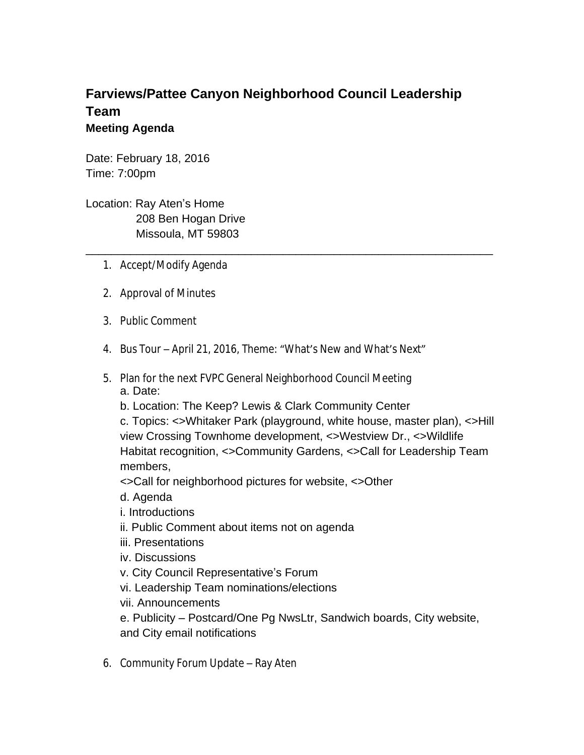## **Farviews/Pattee Canyon Neighborhood Council Leadership Team Meeting Agenda**

\_\_\_\_\_\_\_\_\_\_\_\_\_\_\_\_\_\_\_\_\_\_\_\_\_\_\_\_\_\_\_\_\_\_\_\_\_\_\_\_\_\_\_\_\_\_\_\_\_\_\_\_\_\_\_\_\_\_\_\_\_\_\_\_

Date: February 18, 2016 Time: 7:00pm

Location: Ray Aten's Home 208 Ben Hogan Drive Missoula, MT 59803

- 1. Accept/Modify Agenda
- 2. Approval of Minutes
- 3. Public Comment
- 4. Bus Tour April 21, 2016, Theme: "What's New and What's Next"
- 5. Plan for the next FVPC General Neighborhood Council Meeting a. Date:
	- b. Location: The Keep? Lewis & Clark Community Center
	- c. Topics: <>Whitaker Park (playground, white house, master plan), <>Hill view Crossing Townhome development, <>Westview Dr., <>Wildlife Habitat recognition, <>Community Gardens, <>Call for Leadership Team members,
	- <>Call for neighborhood pictures for website, <>Other
	- d. Agenda
	- i. Introductions
	- ii. Public Comment about items not on agenda
	- iii. Presentations
	- iv. Discussions
	- v. City Council Representative's Forum
	- vi. Leadership Team nominations/elections
	- vii. Announcements

e. Publicity – Postcard/One Pg NwsLtr, Sandwich boards, City website, and City email notifications

6. Community Forum Update – Ray Aten